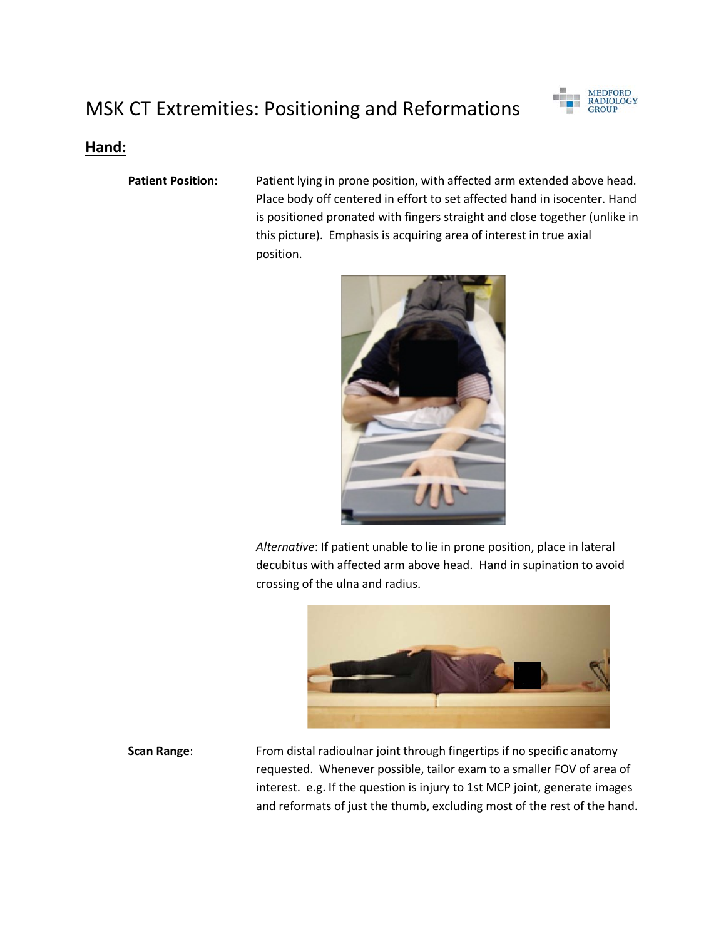# MSK CT Extremities: Positioning and Reformations



#### **Hand:**

**Patient Position:** Patient lying in prone position, with affected arm extended above head. Place body off centered in effort to set affected hand in isocenter. Hand is positioned pronated with fingers straight and close together (unlike in this picture). Emphasis is acquiring area of interest in true axial position.



*Alternative*: If patient unable to lie in prone position, place in lateral decubitus with affected arm above head. Hand in supination to avoid crossing of the ulna and radius.



**Scan Range:** From distal radioulnar joint through fingertips if no specific anatomy requested. Whenever possible, tailor exam to a smaller FOV of area of interest. e.g. If the question is injury to 1st MCP joint, generate images and reformats of just the thumb, excluding most of the rest of the hand.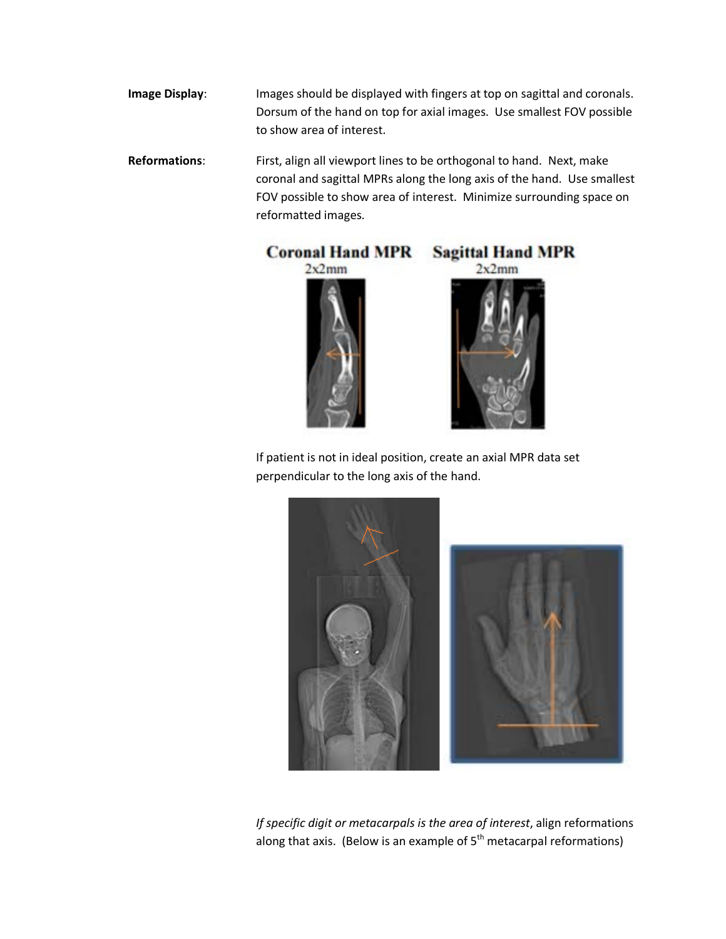- **Image Display:** Images should be displayed with fingers at top on sagittal and coronals. Dorsum of the hand on top for axial images. Use smallest FOV possible to show area of interest.
- **Reformations**: First, align all viewport lines to be orthogonal to hand. Next, make coronal and sagittal MPRs along the long axis of the hand. Use smallest FOV possible to show area of interest. Minimize surrounding space on reformatted images.



If patient is not in ideal position, create an axial MPR data set perpendicular to the long axis of the hand.



*If specific digit or metacarpals is the area of interest*, align reformations along that axis. (Below is an example of  $5<sup>th</sup>$  metacarpal reformations)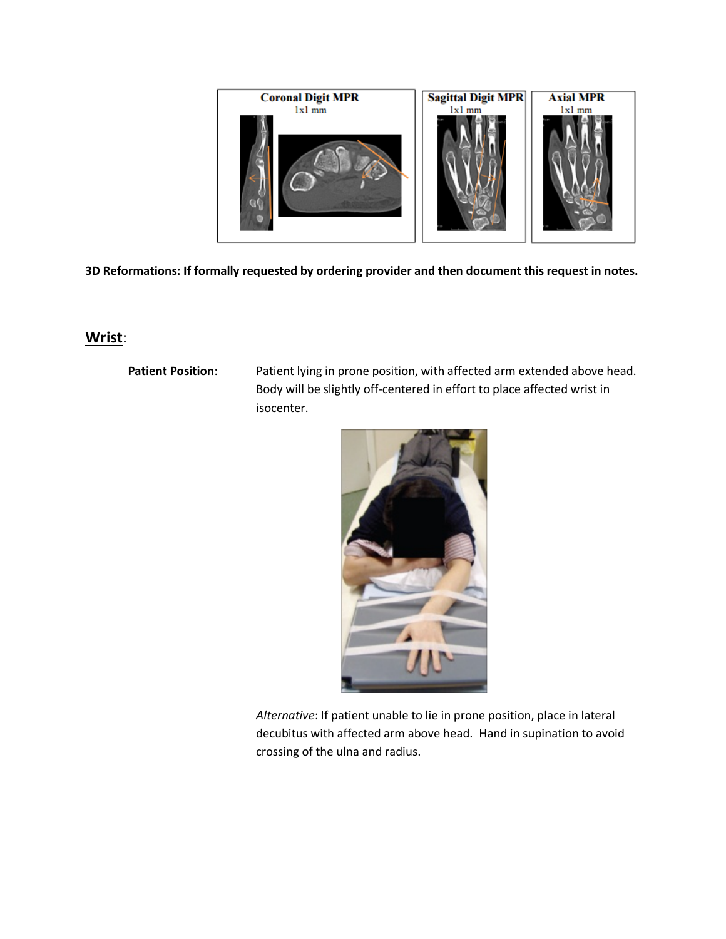

## **Wrist**:

Patient Position: Patient lying in prone position, with affected arm extended above head. Body will be slightly off-centered in effort to place affected wrist in isocenter.



*Alternative*: If patient unable to lie in prone position, place in lateral decubitus with affected arm above head. Hand in supination to avoid crossing of the ulna and radius.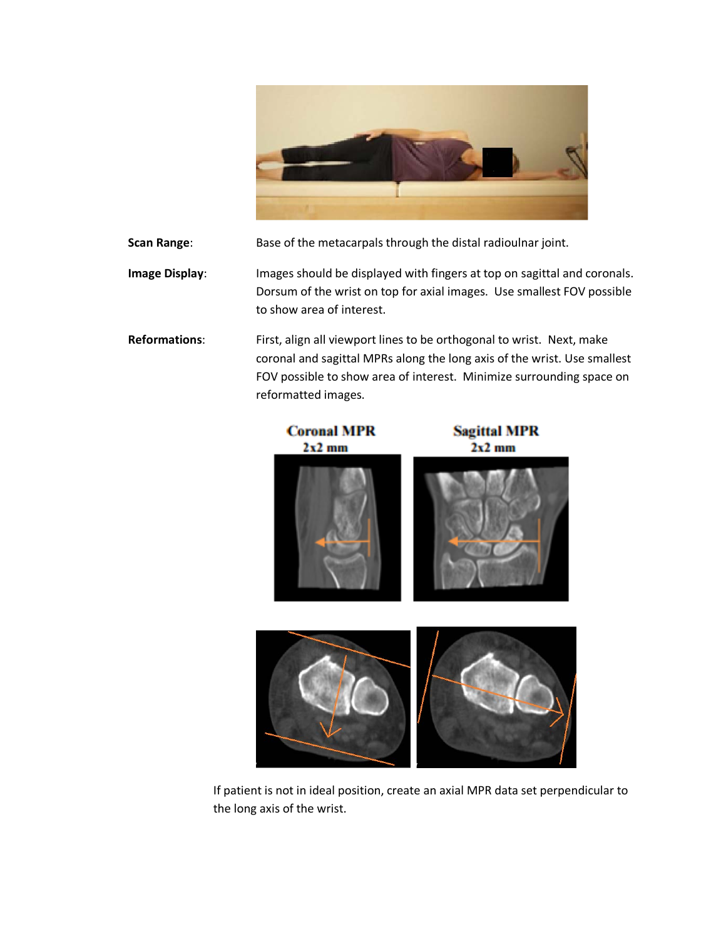

FOV possible to show area of interest. Minimize surrounding space on

| Scan Range:           | Base of the metacarpals through the distal radioulnar joint.                                                                                                                    |
|-----------------------|---------------------------------------------------------------------------------------------------------------------------------------------------------------------------------|
| <b>Image Display:</b> | Images should be displayed with fingers at top on sagittal and coronals.<br>Dorsum of the wrist on top for axial images. Use smallest FOV possible<br>to show area of interest. |
| <b>Reformations:</b>  | First, align all viewport lines to be orthogonal to wrist. Next, make<br>coronal and sagittal MPRs along the long axis of the wrist. Use smallest                               |



If patient is not in ideal position, create an axial MPR data set perpendicular to the long axis of the wrist.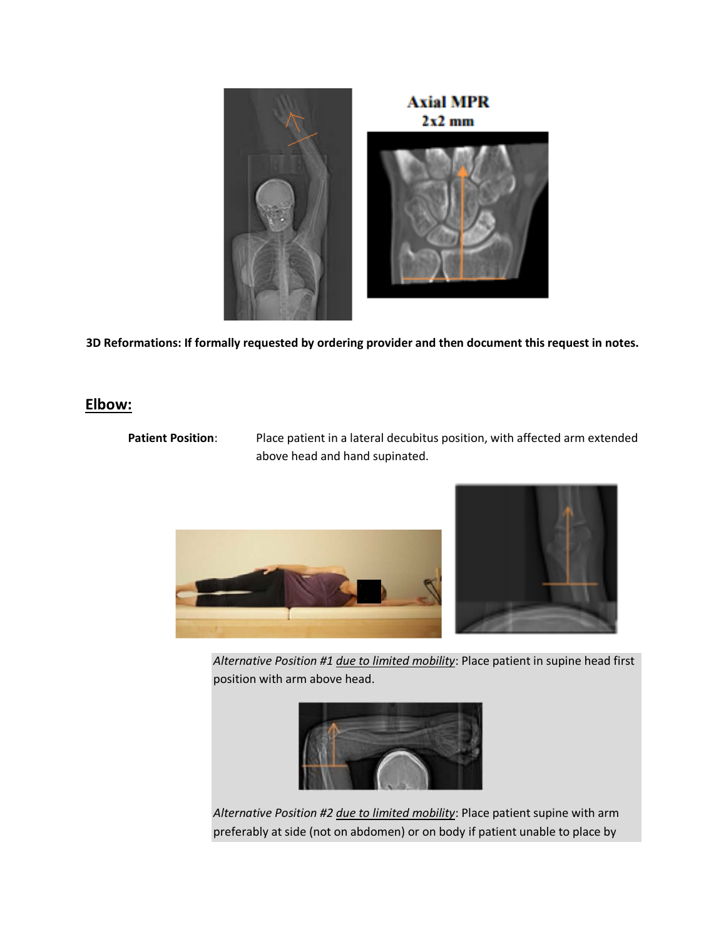

## **Elbow:**

Patient Position: Place patient in a lateral decubitus position, with affected arm extended above head and hand supinated.



*Alternative Position #1 due to limited mobility*: Place patient in supine head first position with arm above head.



*Alternative Position #2 due to limited mobility*: Place patient supine with arm preferably at side (not on abdomen) or on body if patient unable to place by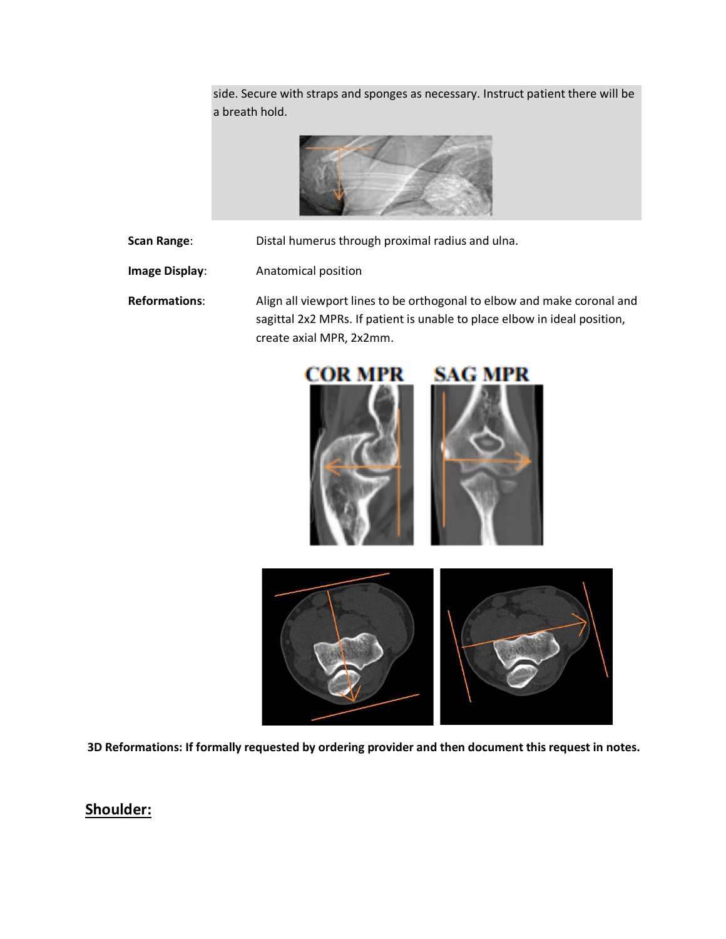side. Secure with straps and sponges as necessary. Instruct patient there will be a breath hold.



**Scan Range:** Distal humerus through proximal radius and ulna.

**Image Display:** Anatomical position

**Reformations**: Align all viewport lines to be orthogonal to elbow and make coronal and sagittal 2x2 MPRs. If patient is unable to place elbow in ideal position, create axial MPR, 2x2mm.



**3D Reformations: If formally requested by ordering provider and then document this request in notes.**

# **Shoulder:**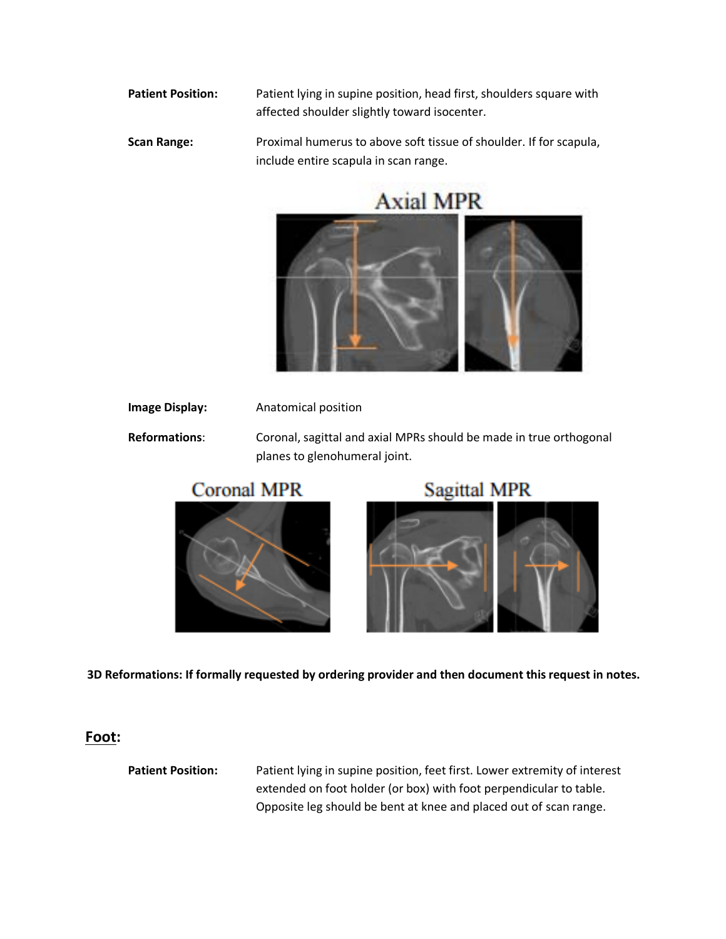**Patient Position:** Patient lying in supine position, head first, shoulders square with affected shoulder slightly toward isocenter.

**Scan Range:** Proximal humerus to above soft tissue of shoulder. If for scapula, include entire scapula in scan range.



**Image Display:** Anatomical position **Reformations**: Coronal, sagittal and axial MPRs should be made in true orthogonal planes to glenohumeral joint.







**3D Reformations: If formally requested by ordering provider and then document this request in notes.**

#### **Foot:**

**Patient Position:** Patient lying in supine position, feet first. Lower extremity of interest extended on foot holder (or box) with foot perpendicular to table. Opposite leg should be bent at knee and placed out of scan range.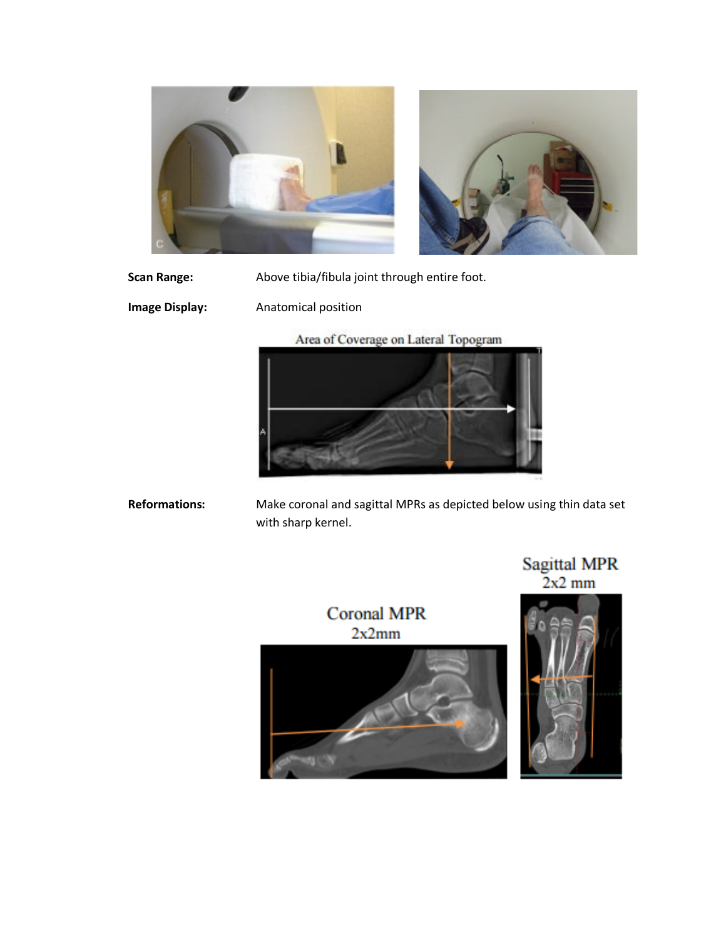



Scan Range: Above tibia/fibula joint through entire foot.

**Image Display:** Anatomical position

Area of Coverage on Lateral Topogram



**Reformations:** Make coronal and sagittal MPRs as depicted below using thin data set with sharp kernel.

Sagittal MPR<br> $2x2$  mm



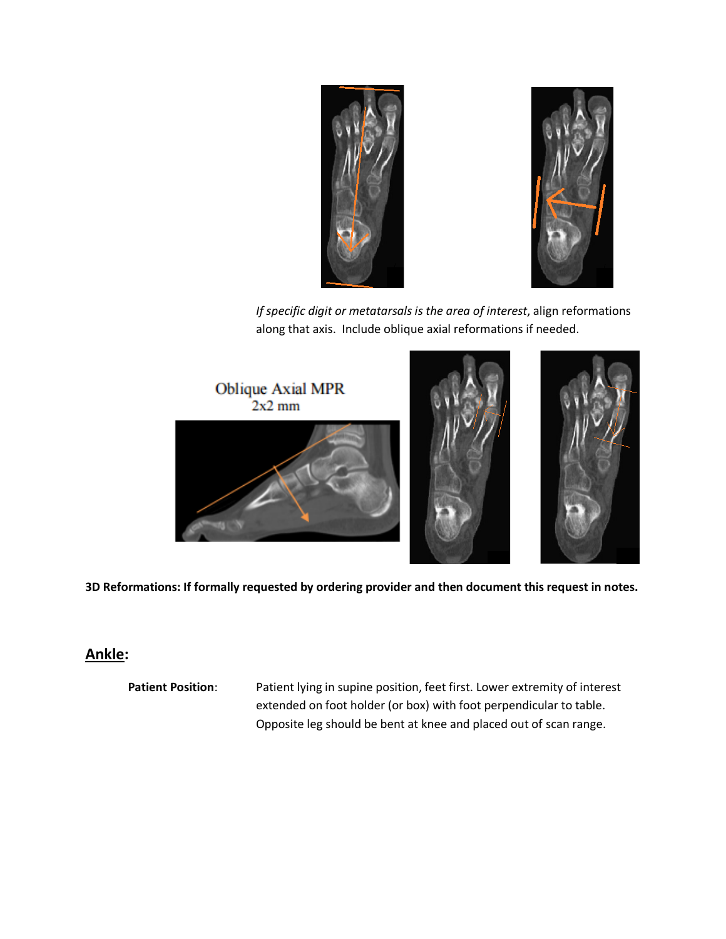



*If specific digit or metatarsals is the area of interest*, align reformations along that axis. Include oblique axial reformations if needed.



**3D Reformations: If formally requested by ordering provider and then document this request in notes.**

# **Ankle:**

Patient Position: Patient lying in supine position, feet first. Lower extremity of interest extended on foot holder (or box) with foot perpendicular to table. Opposite leg should be bent at knee and placed out of scan range.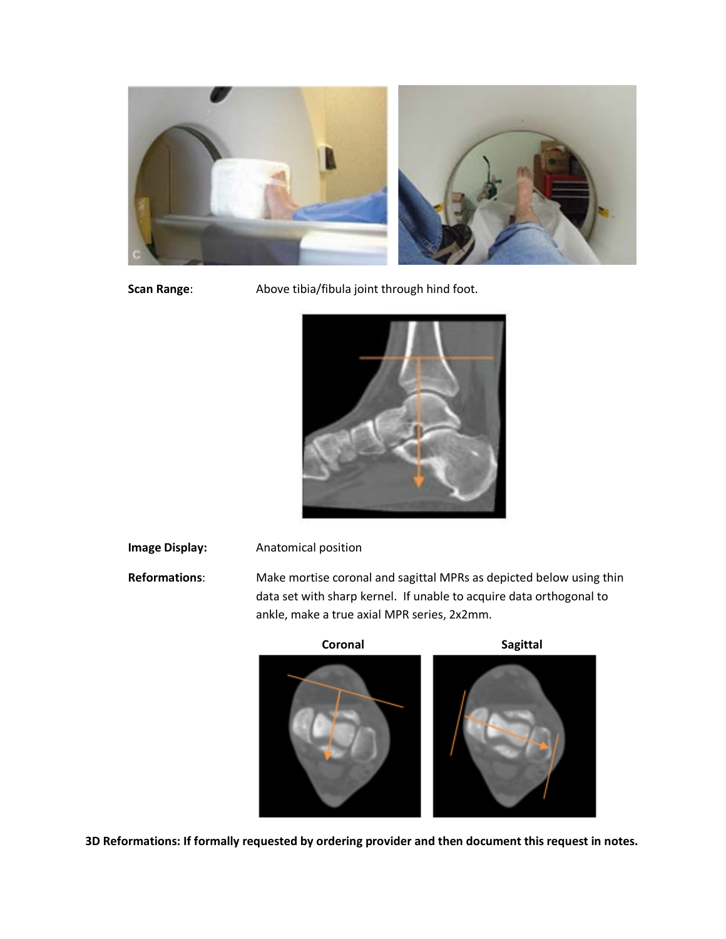

**Scan Range:** Above tibia/fibula joint through hind foot.



**Image Display:** Anatomical position

**Reformations**: Make mortise coronal and sagittal MPRs as depicted below using thin data set with sharp kernel. If unable to acquire data orthogonal to ankle, make a true axial MPR series, 2x2mm.





**3D Reformations: If formally requested by ordering provider and then document this request in notes.**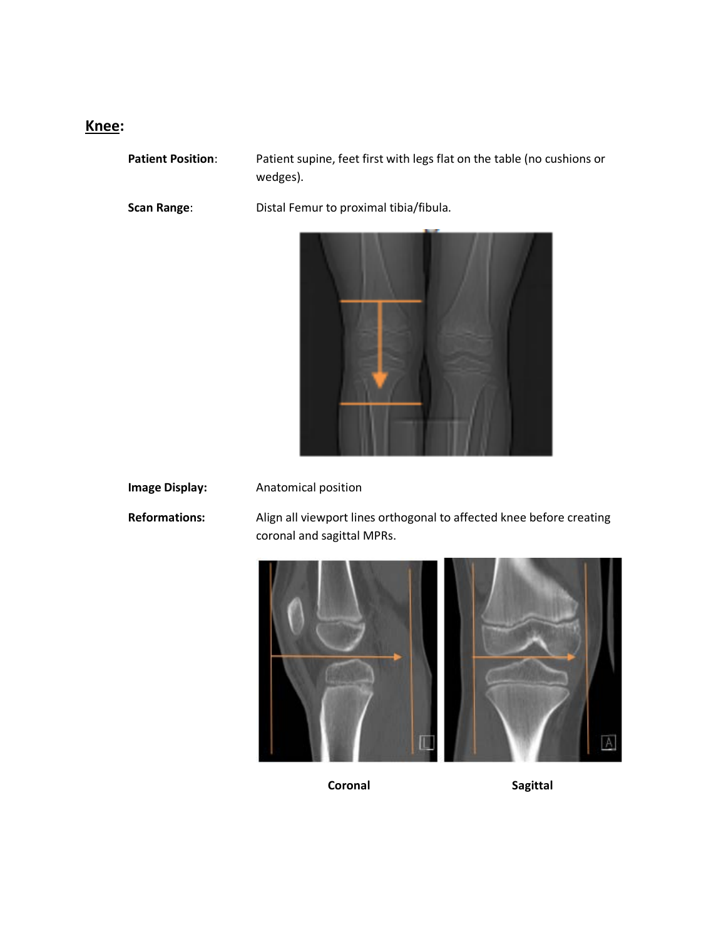# **Knee:**

**Patient Position**: Patient supine, feet first with legs flat on the table (no cushions or

**Scan Range**: Distal Femur to proximal tibia/fibula.

wedges).



**Image Display:** Anatomical position

**Reformations:** Align all viewport lines orthogonal to affected knee before creating coronal and sagittal MPRs.



**Coronal** Sagittal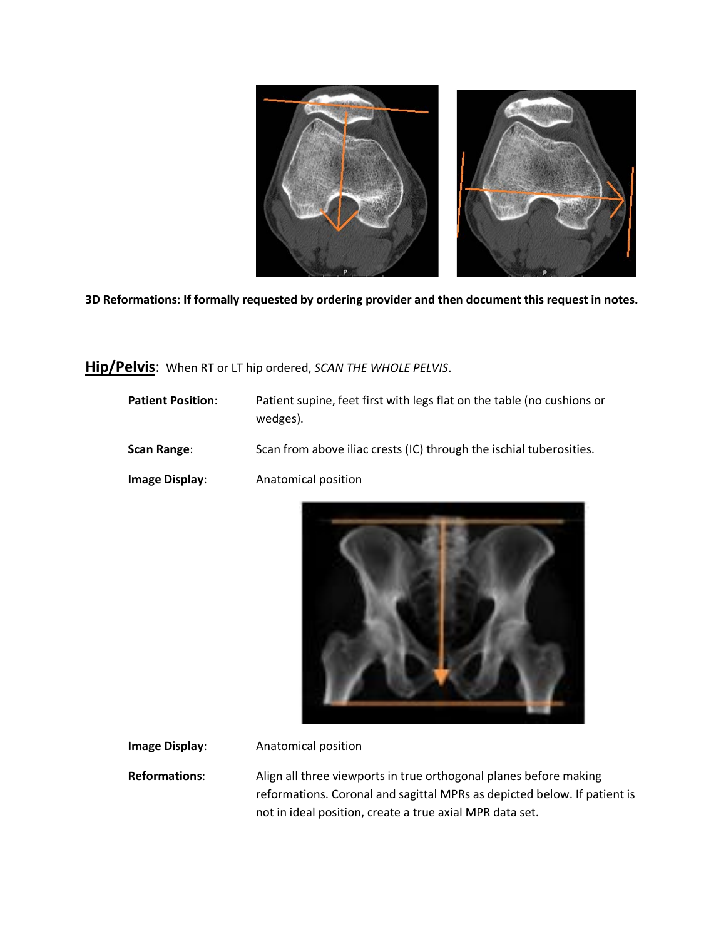

**Hip/Pelvis**: When RT or LT hip ordered, *SCAN THE WHOLE PELVIS*.

| <b>Patient Position:</b> | Patient supine, feet first with legs flat on the table (no cushions or<br>wedges). |
|--------------------------|------------------------------------------------------------------------------------|
| Scan Range:              | Scan from above iliac crests (IC) through the ischial tuberosities.                |
| Image Display:           | Anatomical position                                                                |



**Image Display:** Anatomical position

**Reformations**: Align all three viewports in true orthogonal planes before making reformations. Coronal and sagittal MPRs as depicted below. If patient is not in ideal position, create a true axial MPR data set.